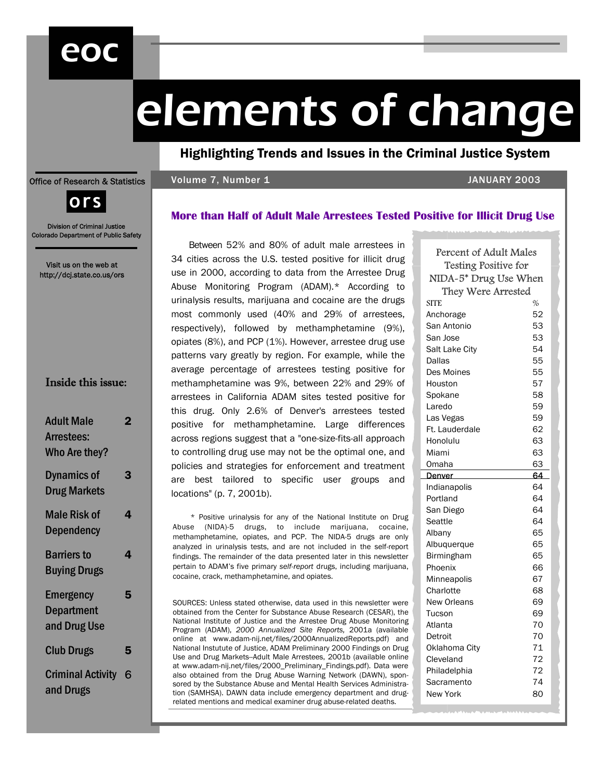# eoc

# elements of change

Highlighting Trends and Issues in the Criminal Justice System

#### Office of Research & Statistics

# Volume 7, Number 1 JANUARY 2003



Division of Criminal Justice Colorado Department of Public Safety

Visit us on the web at http://dcj.state.co.us/ors

| <b>Adult Male</b><br><b>Arrestees:</b><br>Who Are they? | 7 |
|---------------------------------------------------------|---|
| <b>Dynamics of</b><br><b>Drug Markets</b>               | 3 |
| <b>Male Risk of</b><br><b>Dependency</b>                | 4 |
| <b>Barriers to</b><br><b>Buying Drugs</b>               | Δ |
| <b>Emergency</b><br>Department<br>and Drug Use          | 5 |
| <b>Club Drugs</b>                                       | 5 |
| <b>Criminal Activity</b><br>and Drugs                   | 6 |

**More than Half of Adult Male Arrestees Tested Positive for Illicit Drug Use** 

Between 52% and 80% of adult male arrestees in 34 cities across the U.S. tested positive for illicit drug use in 2000, according to data from the Arrestee Drug Abuse Monitoring Program (ADAM).\* According to urinalysis results, marijuana and cocaine are the drugs most commonly used (40% and 29% of arrestees, respectively), followed by methamphetamine (9%), opiates (8%), and PCP (1%). However, arrestee drug use patterns vary greatly by region. For example, while the average percentage of arrestees testing positive for methamphetamine was 9%, between 22% and 29% of arrestees in California ADAM sites tested positive for this drug. Only 2.6% of Denver's arrestees tested positive for methamphetamine. Large differences across regions suggest that a "one-size-fits-all approach to controlling drug use may not be the optimal one, and policies and strategies for enforcement and treatment are best tailored to specific user groups and locations" (p. 7, 2001b).

\* Positive urinalysis for any of the National Institute on Drug Abuse (NIDA)-5 drugs, to include marijuana, cocaine, methamphetamine, opiates, and PCP. The NIDA-5 drugs are only analyzed in urinalysis tests, and are not included in the self-report findings. The remainder of the data presented later in this newsletter pertain to ADAM's five primary *self-report* drugs, including marijuana, cocaine, crack, methamphetamine, and opiates.

SOURCES: Unless stated otherwise, data used in this newsletter were obtained from the Center for Substance Abuse Research (CESAR), the National Institute of Justice and the Arrestee Drug Abuse Monitoring Program (ADAM), *2000 Annualized Site Reports,* 2001a (available online at www.adam-nij.net/files/2000AnnualizedReports.pdf) and National Instutute of Justice, ADAM Preliminary 2000 Findings on Drug Use and Drug Markets--Adult Male Arrestees, 2001b (available online at www.adam-nij.net/files/2000\_Preliminary\_Findings.pdf). Data were also obtained from the Drug Abuse Warning Network (DAWN), sponsored by the Substance Abuse and Mental Health Services Administration (SAMHSA). DAWN data include emergency department and drugrelated mentions and medical examiner drug abuse-related deaths.

| Percent of Adult Males<br><b>Testing Positive for</b> |      |  |  |  |
|-------------------------------------------------------|------|--|--|--|
| NIDA-5* Drug Use When                                 |      |  |  |  |
| They Were Arrested                                    |      |  |  |  |
| SITE                                                  | $\%$ |  |  |  |
| Anchorage                                             | 52   |  |  |  |
| San Antonio                                           | 53   |  |  |  |
| San Jose                                              | 53   |  |  |  |
| Salt Lake City                                        | 54   |  |  |  |
| Dallas                                                | 55   |  |  |  |
| Des Moines                                            | 55   |  |  |  |
| Houston                                               | 57   |  |  |  |
| Spokane                                               | 58   |  |  |  |
| Laredo                                                | 59   |  |  |  |
| Las Vegas                                             | 59   |  |  |  |
| Ft. Lauderdale                                        | 62   |  |  |  |
| Honolulu                                              | 63   |  |  |  |
| Miami                                                 | 63   |  |  |  |
| Omaha                                                 | 63   |  |  |  |
| Denver                                                | 64   |  |  |  |
| Indianapolis                                          | 64   |  |  |  |
| Portland                                              | 64   |  |  |  |
| San Diego                                             | 64   |  |  |  |
| Seattle                                               | 64   |  |  |  |
| Albany                                                | 65   |  |  |  |
| Albuquerque                                           | 65   |  |  |  |
| <b>Birmingham</b>                                     | 65   |  |  |  |
| Phoenix                                               | 66   |  |  |  |
| Minneapolis                                           | 67   |  |  |  |
| Charlotte                                             | 68   |  |  |  |
| New Orleans                                           | 69   |  |  |  |
| Tucson                                                | 69   |  |  |  |
| Atlanta                                               | 70   |  |  |  |
| Detroit                                               | 70   |  |  |  |
| Oklahoma City                                         | 71   |  |  |  |
| Cleveland                                             | 72   |  |  |  |
| Philadelphia                                          | 72   |  |  |  |
| Sacramento                                            | 74   |  |  |  |
| New York                                              | 80   |  |  |  |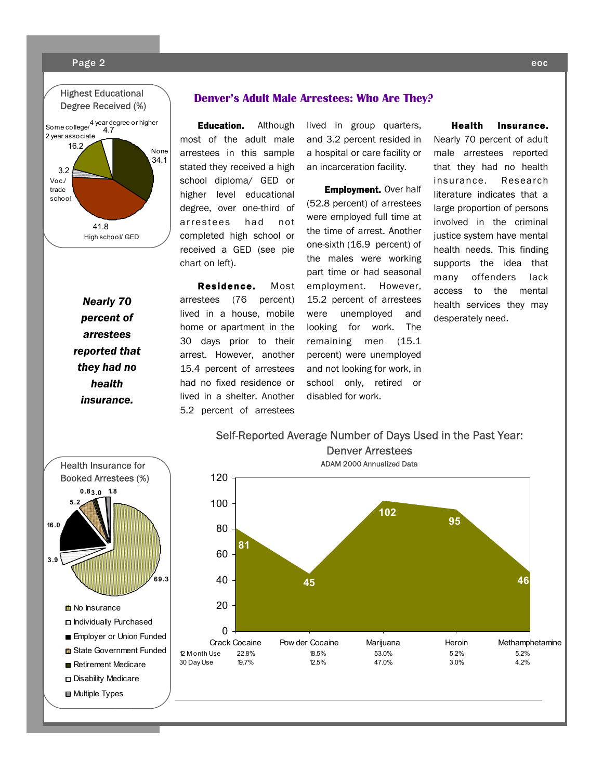#### Page 2 eoc



#### **Denver's Adult Male Arrestees: Who Are They?**

Education. Although most of the adult male arrestees in this sample stated they received a high school diploma/ GED or higher level educational degree, over one-third of arrestees had not completed high school or received a GED (see pie chart on left).

Residence. Most arrestees (76 percent) lived in a house, mobile home or apartment in the 30 days prior to their arrest. However, another 15.4 percent of arrestees had no fixed residence or lived in a shelter. Another 5.2 percent of arrestees

lived in group quarters, and 3.2 percent resided in a hospital or care facility or an incarceration facility.

**Employment.** Over half (52.8 percent) of arrestees were employed full time at the time of arrest. Another one-sixth (16.9 percent) of the males were working part time or had seasonal employment. However, 15.2 percent of arrestees were unemployed and looking for work. The remaining men (15.1 percent) were unemployed and not looking for work, in school only, retired or disabled for work.

Self-Reported Average Number of Days Used in the Past Year:

Health Insurance. Nearly 70 percent of adult male arrestees reported that they had no health insurance. Research literature indicates that a large proportion of persons involved in the criminal justice system have mental health needs. This finding supports the idea that many offenders lack access to the mental health services they may desperately need.

*Nearly 70 percent of arrestees reported that they had no health insurance.* 



# **81 45 102 95 46**  $\Omega$ 20 40 60 80 100 120 Crack Cocaine Pow der Cocaine Marijuana Heroin Methamphetamine 12 M onth Use 22.8% 18.5% 53.0% 5.2% 5.2% 30 Day Use 19.7% 12.5% 47.0% 3.0% 4.2% Denver Arrestees ADAM 2000 Annualized Data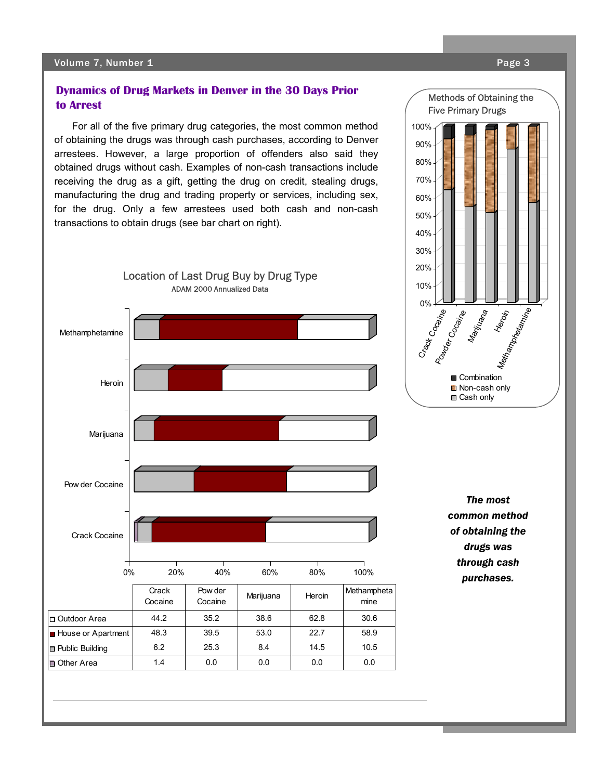# **Dynamics of Drug Markets in Denver in the 30 Days Prior to Arrest**

For all of the five primary drug categories, the most common method of obtaining the drugs was through cash purchases, according to Denver arrestees. However, a large proportion of offenders also said they obtained drugs without cash. Examples of non-cash transactions include receiving the drug as a gift, getting the drug on credit, stealing drugs, manufacturing the drug and trading property or services, including sex, for the drug. Only a few arrestees used both cash and non-cash transactions to obtain drugs (see bar chart on right).



Methods of Obtaining the Five Primary Drugs

30% 40% 50% 60% 70% 80% 90% 100%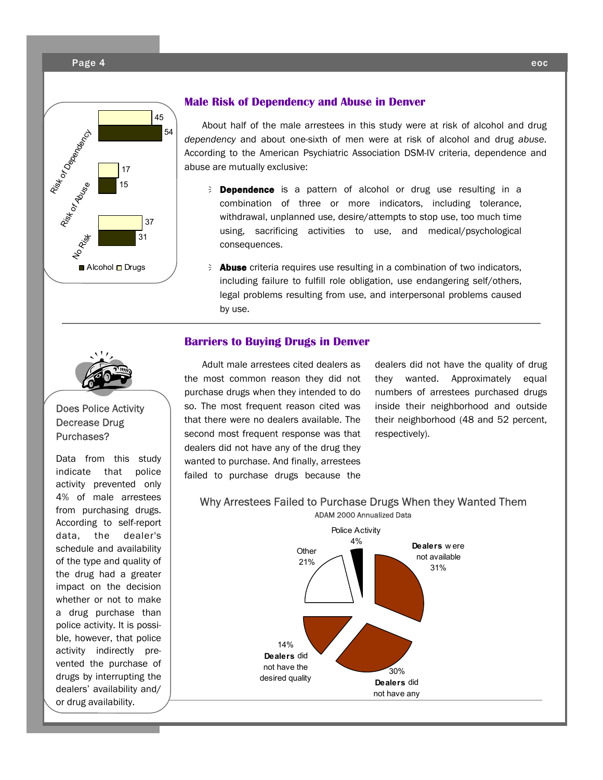#### Page 4 eoc



#### **Male Risk of Dependency and Abuse in Denver**

About half of the male arrestees in this study were at risk of alcohol and drug *dependency* and about one-sixth of men were at risk of alcohol and drug *abuse*. According to the American Psychiatric Association DSM-IV criteria, dependence and abuse are mutually exclusive:

- E **Dependence** is a pattern of alcohol or drug use resulting in a combination of three or more indicators, including tolerance, withdrawal, unplanned use, desire/attempts to stop use, too much time using, sacrificing activities to use, and medical/psychological consequences.
- $\epsilon$  **Abuse** criteria requires use resulting in a combination of two indicators, including failure to fulfill role obligation, use endangering self/others, legal problems resulting from use, and interpersonal problems caused by use.

# **Barriers to Buying Drugs in Denver**



# Does Police Activity Decrease Drug Purchases?

Data from this study indicate that police activity prevented only 4% of male arrestees from purchasing drugs. According to self-report data, the dealer's schedule and availability of the type and quality of the drug had a greater impact on the decision whether or not to make a drug purchase than police activity. It is possible, however, that police activity indirectly prevented the purchase of drugs by interrupting the dealers' availability and/ or drug availability.

Adult male arrestees cited dealers as the most common reason they did not purchase drugs when they intended to do so. The most frequent reason cited was that there were no dealers available. The second most frequent response was that dealers did not have any of the drug they wanted to purchase. And finally, arrestees failed to purchase drugs because the

dealers did not have the quality of drug they wanted. Approximately equal numbers of arrestees purchased drugs inside their neighborhood and outside their neighborhood (48 and 52 percent, respectively).

# Why Arrestees Failed to Purchase Drugs When they Wanted Them ADAM 2000 Annualized Data

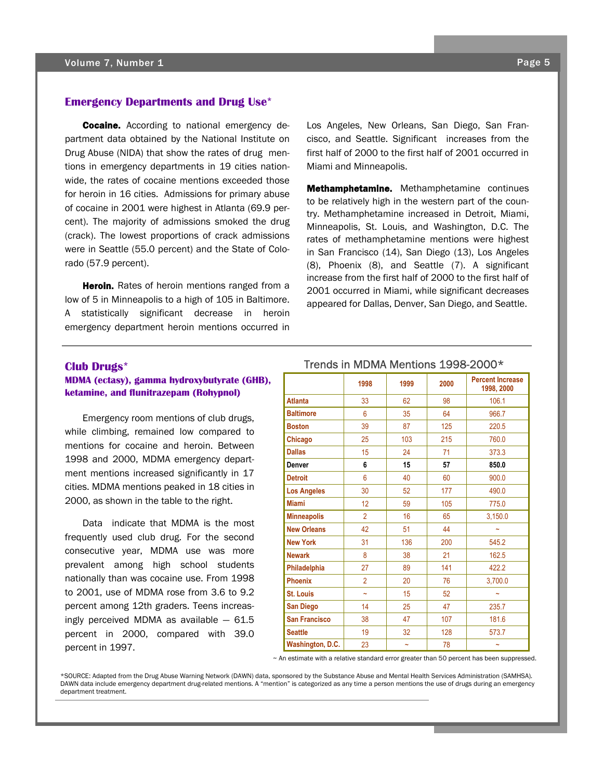## **Emergency Departments and Drug Use\***

**Cocaine.** According to national emergency department data obtained by the National Institute on Drug Abuse (NIDA) that show the rates of drug mentions in emergency departments in 19 cities nationwide, the rates of cocaine mentions exceeded those for heroin in 16 cities. Admissions for primary abuse of cocaine in 2001 were highest in Atlanta (69.9 percent). The majority of admissions smoked the drug (crack). The lowest proportions of crack admissions were in Seattle (55.0 percent) and the State of Colorado (57.9 percent).

Heroin. Rates of heroin mentions ranged from a low of 5 in Minneapolis to a high of 105 in Baltimore. A statistically significant decrease in heroin emergency department heroin mentions occurred in Los Angeles, New Orleans, San Diego, San Francisco, and Seattle. Significant increases from the first half of 2000 to the first half of 2001 occurred in Miami and Minneapolis.

**Methamphetamine.** Methamphetamine continues to be relatively high in the western part of the country. Methamphetamine increased in Detroit, Miami, Minneapolis, St. Louis, and Washington, D.C. The rates of methamphetamine mentions were highest in San Francisco (14), San Diego (13), Los Angeles (8), Phoenix (8), and Seattle (7). A significant increase from the first half of 2000 to the first half of 2001 occurred in Miami, while significant decreases appeared for Dallas, Denver, San Diego, and Seattle.

#### **Club Drugs\***

#### **MDMA (ectasy), gamma hydroxybutyrate (GHB), ketamine, and flunitrazepam (Rohypnol)**

Emergency room mentions of club drugs, while climbing, remained low compared to mentions for cocaine and heroin. Between 1998 and 2000, MDMA emergency department mentions increased significantly in 17 cities. MDMA mentions peaked in 18 cities in 2000, as shown in the table to the right.

Data indicate that MDMA is the most frequently used club drug. For the second consecutive year, MDMA use was more prevalent among high school students nationally than was cocaine use. From 1998 to 2001, use of MDMA rose from 3.6 to 9.2 percent among 12th graders. Teens increasingly perceived MDMA as available  $-61.5$ percent in 2000, compared with 39.0 percent in 1997.

## Trends in MDMA Mentions 1998-2000\*

|                      | 1998                  | 1999       | 2000 | <b>Percent Increase</b><br>1998, 2000 |  |
|----------------------|-----------------------|------------|------|---------------------------------------|--|
| <b>Atlanta</b>       | 33                    | 62         | 98   | 106.1                                 |  |
| <b>Baltimore</b>     | 6                     | 35         | 64   | 966.7                                 |  |
| <b>Boston</b>        | 39                    | 87         | 125  | 220.5                                 |  |
| Chicago              | 25                    | 103        | 215  | 760.0                                 |  |
| <b>Dallas</b>        | 15                    | 24         | 71   | 373.3                                 |  |
| <b>Denver</b>        | 6                     | 15         | 57   | 850.0                                 |  |
| <b>Detroit</b>       | 6                     | 40         | 60   | 900.0                                 |  |
| <b>Los Angeles</b>   | 30                    | 52         | 177  | 490.0                                 |  |
| <b>Miami</b>         | 12                    | 59         | 105  | 775.0                                 |  |
| <b>Minneapolis</b>   | $\overline{2}$        | 16         | 65   | 3,150.0                               |  |
| <b>New Orleans</b>   | 42                    | 51         | 44   | $\sim$                                |  |
| <b>New York</b>      | 31                    | 136        | 200  | 545.2                                 |  |
| <b>Newark</b>        | 8                     | 38         | 21   | 162.5                                 |  |
| Philadelphia         | 27                    | 89         | 141  | 422.2                                 |  |
| <b>Phoenix</b>       | $\overline{2}$        | 20         | 76   | 3,700.0                               |  |
| <b>St. Louis</b>     | $\tilde{\phantom{a}}$ | 15         | 52   | $\tilde{\phantom{a}}$                 |  |
| <b>San Diego</b>     | 14                    | 25         | 47   | 235.7                                 |  |
| <b>San Francisco</b> | 38                    | 47         | 107  | 181.6                                 |  |
| <b>Seattle</b>       | 19                    | 32         | 128  | 573.7                                 |  |
| Washington, D.C.     | 23                    | $\tilde{}$ | 78   | $\tilde{}$                            |  |

 $\sim$  An estimate with a relative standard error greater than 50 percent has been suppressed.

\*SOURCE: Adapted from the Drug Abuse Warning Network (DAWN) data, sponsored by the Substance Abuse and Mental Health Services Administration (SAMHSA). DAWN data include emergency department drug-related mentions. A "mention" is categorized as any time a person mentions the use of drugs during an emergency department treatment.